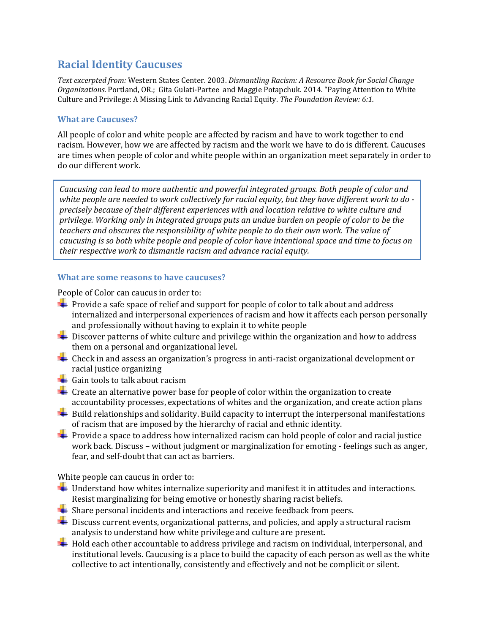## **Racial Identity Caucuses**

*Text excerpted from:* Western States Center. 2003. *Dismantling Racism: A Resource Book for Social Change Organizations.* Portland, OR*.*; Gita Gulati-Partee and Maggie Potapchuk*.* 2014. "Paying Attention to White Culture and Privilege: A Missing Link to Advancing Racial Equity. *The Foundation Review: 6:1.* 

## **What are Caucuses?**

All people of color and white people are affected by racism and have to work together to end racism. However, how we are affected by racism and the work we have to do is different. Caucuses are times when people of color and white people within an organization meet separately in order to do our different work.

*Caucusing can lead to more authentic and powerful integrated groups. Both people of color and white people are needed to work collectively for racial equity, but they have different work to do precisely because of their different experiences with and location relative to white culture and privilege. Working only in integrated groups puts an undue burden on people of color to be the teachers and obscures the responsibility of white people to do their own work. The value of caucusing is so both white people and people of color have intentional space and time to focus on their respective work to dismantle racism and advance racial equity.* 

## **What are some reasons to have caucuses?**

People of Color can caucus in order to:

- $\downarrow$  Provide a safe space of relief and support for people of color to talk about and address internalized and interpersonal experiences of racism and how it affects each person personally and professionally without having to explain it to white people
- $\pm$  Discover patterns of white culture and privilege within the organization and how to address them on a personal and organizational level.
- $\ddot{\phantom{a}}$  Check in and assess an organization's progress in anti-racist organizational development or racial justice organizing
- Gain tools to talk about racism
- $\div$  Create an alternative power base for people of color within the organization to create accountability processes, expectations of whites and the organization, and create action plans
- $\ddot{\phantom{1}}$  Build relationships and solidarity. Build capacity to interrupt the interpersonal manifestations of racism that are imposed by the hierarchy of racial and ethnic identity.
- $\blacktriangleright$  Provide a space to address how internalized racism can hold people of color and racial justice work back. Discuss – without judgment or marginalization for emoting - feelings such as anger, fear, and self-doubt that can act as barriers.

White people can caucus in order to:

- $\frac{1}{\sqrt{1-\frac{1}{\sqrt{1-\frac{1}{\sqrt{1-\frac{1}{\sqrt{1-\frac{1}{\sqrt{1-\frac{1}{\sqrt{1-\frac{1}{\sqrt{1-\frac{1}{\sqrt{1-\frac{1}{\sqrt{1-\frac{1}{\sqrt{1-\frac{1}{\sqrt{1-\frac{1}{\sqrt{1-\frac{1}{\sqrt{1-\frac{1}{\sqrt{1-\frac{1}{\sqrt{1-\frac{1}{\sqrt{1-\frac{1}{\sqrt{1-\frac{1}{\sqrt{1-\frac{1}{\sqrt{1-\frac{1}{\sqrt{1-\frac{1}{\sqrt{1-\frac{1}{\sqrt{1-\frac{1}{\sqrt{1-\frac{1}{\sqrt{1-\frac{1$ Resist marginalizing for being emotive or honestly sharing racist beliefs.
- $\frac{1}{\sqrt{1}}$  Share personal incidents and interactions and receive feedback from peers.
- $\ddot{\phantom{a}}$  Discuss current events, organizational patterns, and policies, and apply a structural racism analysis to understand how white privilege and culture are present.
- $\pm$  Hold each other accountable to address privilege and racism on individual, interpersonal, and institutional levels. Caucusing is a place to build the capacity of each person as well as the white collective to act intentionally, consistently and effectively and not be complicit or silent.